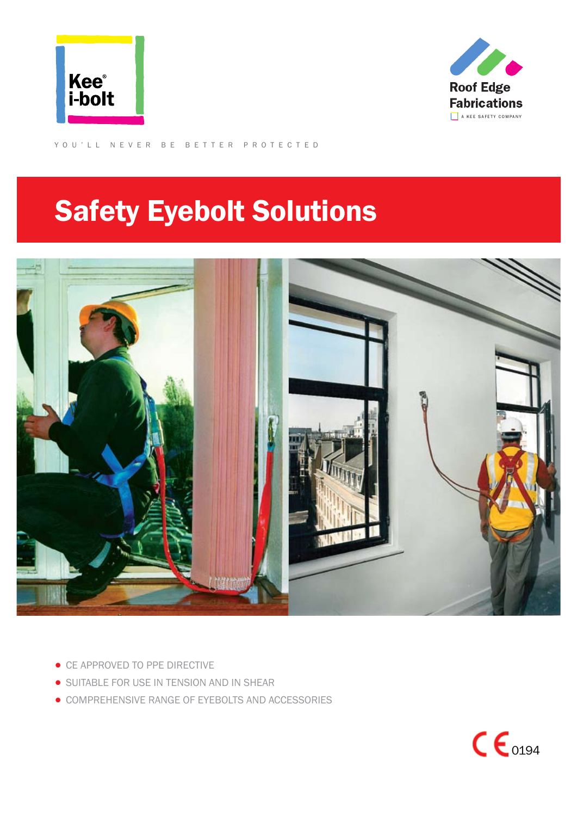



YOU'LL NEVER BE BETTER PROTECTED

# Safety Eyebolt Solutions



- CE APPROVED TO PPE DIRECTIVE
- **SUITABLE FOR USE IN TENSION AND IN SHEAR**
- COMPREHENSIVE RANGE OF EYEBOLTS AND ACCESSORIES

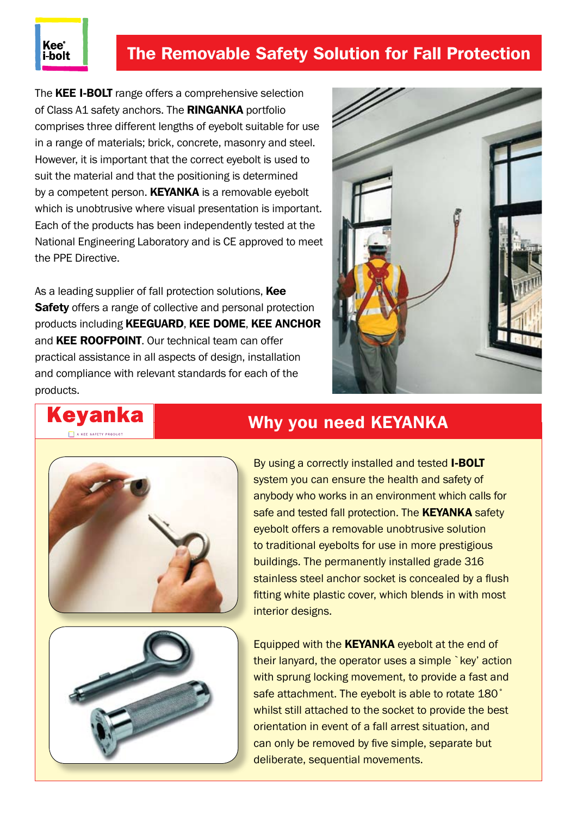# The Removable Safety Solution for Fall Protection

The **KEE I-BOLT** range offers a comprehensive selection of Class A1 safety anchors. The RINGANKA portfolio comprises three different lengths of eyebolt suitable for use in a range of materials; brick, concrete, masonry and steel. However, it is important that the correct eyebolt is used to suit the material and that the positioning is determined by a competent person. **KEYANKA** is a removable eyebolt which is unobtrusive where visual presentation is important. Each of the products has been independently tested at the National Engineering Laboratory and is CE approved to meet the PPE Directive.

As a leading supplier of fall protection solutions, Kee **Safety** offers a range of collective and personal protection products including KEEGUARD, KEE DOME, KEE ANCHOR and **KEE ROOFPOINT**. Our technical team can offer practical assistance in all aspects of design, installation and compliance with relevant standards for each of the products.









# Why you need KEYANKA

By using a correctly installed and tested **I-BOLT** system you can ensure the health and safety of anybody who works in an environment which calls for safe and tested fall protection. The **KEYANKA** safety eyebolt offers a removable unobtrusive solution to traditional eyebolts for use in more prestigious buildings. The permanently installed grade 316 stainless steel anchor socket is concealed by a flush fitting white plastic cover, which blends in with most interior designs.

Equipped with the **KEYANKA** eyebolt at the end of their lanyard, the operator uses a simple `key' action with sprung locking movement, to provide a fast and safe attachment. The eyebolt is able to rotate 180˚ whilst still attached to the socket to provide the best orientation in event of a fall arrest situation, and can only be removed by five simple, separate but deliberate, sequential movements.

### Kee® i-bolt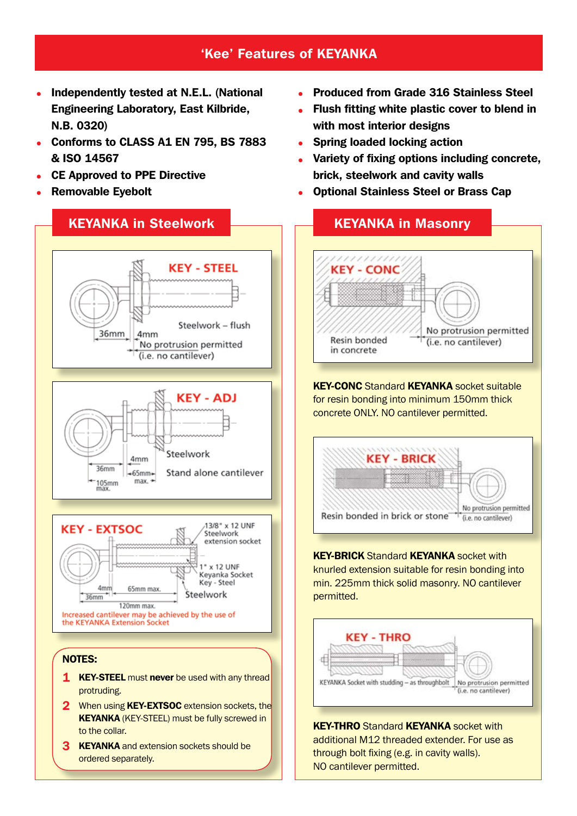## 'Kee' Features of Keyanka

- Independently tested at N.E.L. (National Engineering Laboratory, East Kilbride, N.B. 0320)
- Conforms to CLASS A1 EN 795, BS 7883 & ISO 14567
- CE Approved to PPE Directive
- Removable Eyebolt



- 2 When using **KEY-EXTSOC** extension sockets, the KEYANKA (KEY-STEEL) must be fully screwed in to the collar.
- **3 KEYANKA** and extension sockets should be ordered separately.
- Produced from Grade 316 Stainless Steel
- Flush fitting white plastic cover to blend in with most interior designs
- Spring loaded locking action
- Variety of fixing options including concrete, brick, steelwork and cavity walls
- Optional Stainless Steel or Brass Cap



**KEY-CONC** Standard **KEYANKA** socket suitable for resin bonding into minimum 150mm thick concrete ONLY. NO cantilever permitted.



**KEY-BRICK Standard KEYANKA socket with** knurled extension suitable for resin bonding into min. 225mm thick solid masonry. NO cantilever permitted.



**KEY-THRO Standard KEYANKA socket with** additional M12 threaded extender. For use as through bolt fixing (e.g. in cavity walls). NO cantilever permitted.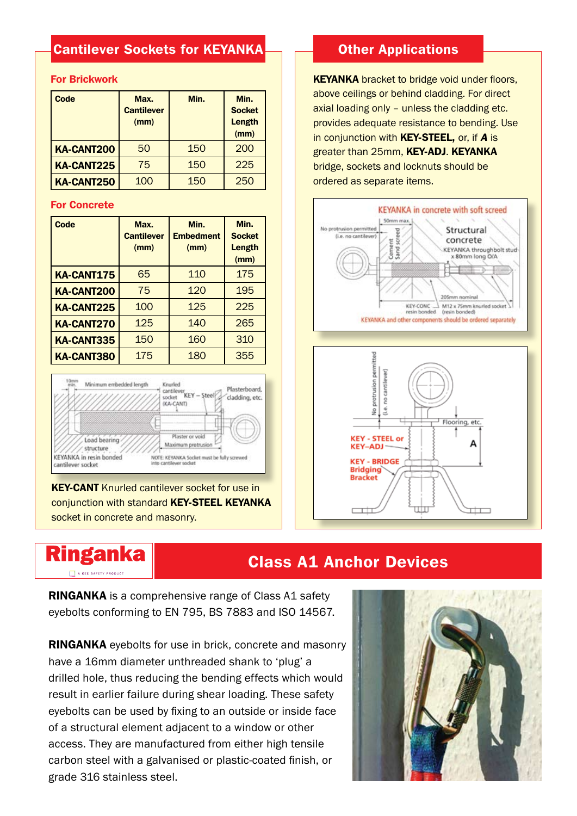# Cantilever Sockets for KEYANKA

### For Brickwork

| Code              | Max.<br><b>Cantilever</b><br>(mm) | Min. | Min.<br><b>Socket</b><br>Length<br>(mm) |
|-------------------|-----------------------------------|------|-----------------------------------------|
| <b>KA-CANT200</b> | 50                                | 150  | 200                                     |
| <b>KA-CANT225</b> | 75                                | 150  | 225                                     |
| <b>KA-CANT250</b> | 100                               | 150  | 250                                     |

#### For Concrete

| <b>Code</b>       | Max.<br><b>Cantilever</b><br>(mm) | Min.<br><b>Embedment</b><br>(mm) | Min.<br><b>Socket</b><br><b>Length</b><br>(mm) |
|-------------------|-----------------------------------|----------------------------------|------------------------------------------------|
| <b>KA-CANT175</b> | 65                                | 110                              | 175                                            |
| <b>KA-CANT200</b> | 75                                | 120                              | 195                                            |
| <b>KA-CANT225</b> | 100                               | 125                              | 225                                            |
| <b>KA-CANT270</b> | 125                               | 140                              | 265                                            |
| <b>KA-CANT335</b> | 150                               | 160                              | 310                                            |
| <b>KA-CANT380</b> | 175                               | 180                              | 355                                            |



**KEY-CANT** Knurled cantilever socket for use in conjunction with standard KEY-STEEL KEYANKA socket in concrete and masonry.

**Ringanka** A KEE SAFETY PRODUCT

### **Other Applications**

**KEYANKA** bracket to bridge void under floors, above ceilings or behind cladding. For direct axial loading only – unless the cladding etc. provides adequate resistance to bending. Use in conjunction with KEY-STEEL, or, if *A* is greater than 25mm, KEY-ADJ. KEYANKA bridge, sockets and locknuts should be ordered as separate items.





# Class A1 Anchor Devices

RINGANKA is a comprehensive range of Class A1 safety eyebolts conforming to EN 795, BS 7883 and ISO 14567.

RINGANKA eyebolts for use in brick, concrete and masonry have a 16mm diameter unthreaded shank to 'plug' a drilled hole, thus reducing the bending effects which would result in earlier failure during shear loading. These safety eyebolts can be used by fixing to an outside or inside face of a structural element adjacent to a window or other access. They are manufactured from either high tensile carbon steel with a galvanised or plastic-coated finish, or grade 316 stainless steel.

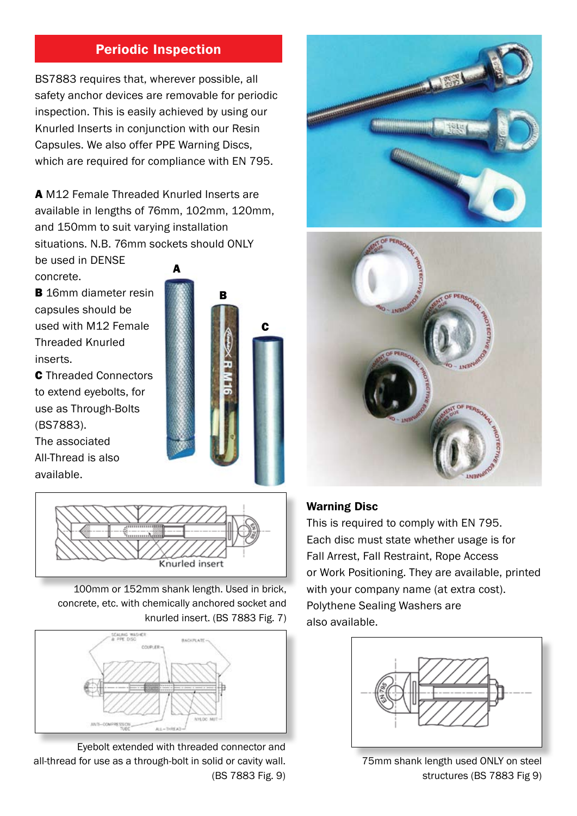# Periodic Inspection

BS7883 requires that, wherever possible, all safety anchor devices are removable for periodic inspection. This is easily achieved by using our Knurled Inserts in conjunction with our Resin Capsules. We also offer PPE Warning Discs, which are required for compliance with EN 795.

A M12 Female Threaded Knurled Inserts are available in lengths of 76mm, 102mm, 120mm, and 150mm to suit varying installation situations. N.B. 76mm sockets should ONLY

be used in DENSE concrete.

**B** 16mm diameter resin capsules should be used with M12 Female Threaded Knurled inserts.

C Threaded Connectors to extend eyebolts, for use as Through-Bolts (BS7883).

The associated All-Thread is also available.





100mm or 152mm shank length. Used in brick, concrete, etc. with chemically anchored socket and knurled insert. (BS 7883 Fig. 7)



Eyebolt extended with threaded connector and all-thread for use as a through-bolt in solid or cavity wall. (BS 7883 Fig. 9)





### Warning Disc

This is required to comply with EN 795. Each disc must state whether usage is for Fall Arrest, Fall Restraint, Rope Access or Work Positioning. They are available, printed with your company name (at extra cost). Polythene Sealing Washers are also available.



75mm shank length used ONLY on steel structures (BS 7883 Fig 9)